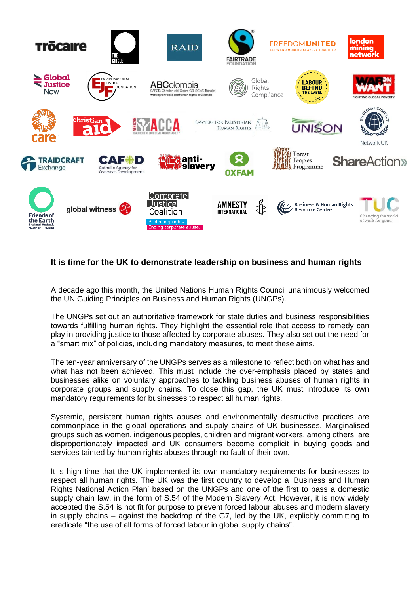

## **It is time for the UK to demonstrate leadership on business and human rights**

A decade ago this month, the United Nations Human Rights Council unanimously welcomed the UN Guiding Principles on Business and Human Rights (UNGPs).

The UNGPs set out an authoritative framework for state duties and business responsibilities towards fulfilling human rights. They highlight the essential role that access to remedy can play in providing justice to those affected by corporate abuses. They also set out the need for a "smart mix" of policies, including mandatory measures, to meet these aims.

The ten-year anniversary of the UNGPs serves as a milestone to reflect both on what has and what has not been achieved. This must include the over-emphasis placed by states and businesses alike on voluntary approaches to tackling business abuses of human rights in corporate groups and supply chains. To close this gap, the UK must introduce its own mandatory requirements for businesses to respect all human rights.

Systemic, persistent human rights abuses and environmentally destructive practices are commonplace in the global operations and supply chains of UK businesses. Marginalised groups such as women, indigenous peoples, children and migrant workers, among others, are disproportionately impacted and UK consumers become complicit in buying goods and services tainted by human rights abuses through no fault of their own.

It is high time that the UK implemented its own mandatory requirements for businesses to respect all human rights. The UK was the first country to develop a 'Business and Human Rights National Action Plan' based on the UNGPs and one of the first to pass a domestic supply chain law, in the form of S.54 of the Modern Slavery Act. However, it is now widely accepted the S.54 is not fit for purpose to prevent forced labour abuses and modern slavery in supply chains – against the backdrop of the G7, led by the UK, explicitly committing to eradicate "the use of all forms of forced labour in global supply chains".